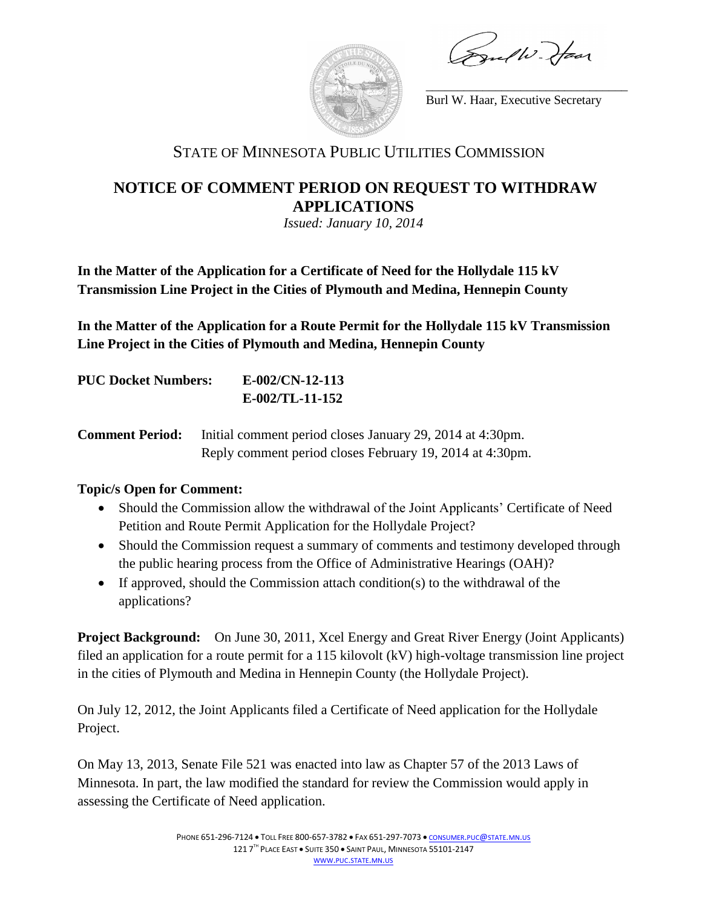guelli Haar



Burl W. Haar, Executive Secretary

\_\_\_\_\_\_\_\_\_\_\_\_\_\_\_\_\_\_\_\_\_\_\_\_\_\_\_\_\_\_\_\_

## STATE OF MINNESOTA PUBLIC UTILITIES COMMISSION

## **NOTICE OF COMMENT PERIOD ON REQUEST TO WITHDRAW APPLICATIONS**

*Issued: January 10, 2014*

**In the Matter of the Application for a Certificate of Need for the Hollydale 115 kV Transmission Line Project in the Cities of Plymouth and Medina, Hennepin County**

**In the Matter of the Application for a Route Permit for the Hollydale 115 kV Transmission Line Project in the Cities of Plymouth and Medina, Hennepin County**

| <b>PUC Docket Numbers:</b> | $E$ -002/CN-12-113 |
|----------------------------|--------------------|
|                            | $E-002/TL-11-152$  |

**Comment Period:** Initial comment period closes January 29, 2014 at 4:30pm. Reply comment period closes February 19, 2014 at 4:30pm.

## **Topic/s Open for Comment:**

- Should the Commission allow the withdrawal of the Joint Applicants' Certificate of Need Petition and Route Permit Application for the Hollydale Project?
- Should the Commission request a summary of comments and testimony developed through the public hearing process from the Office of Administrative Hearings (OAH)?
- If approved, should the Commission attach condition(s) to the withdrawal of the applications?

**Project Background:** On June 30, 2011, Xcel Energy and Great River Energy (Joint Applicants) filed an application for a route permit for a 115 kilovolt (kV) high-voltage transmission line project in the cities of Plymouth and Medina in Hennepin County (the Hollydale Project).

On July 12, 2012, the Joint Applicants filed a Certificate of Need application for the Hollydale Project.

On May 13, 2013, Senate File 521 was enacted into law as Chapter 57 of the 2013 Laws of Minnesota. In part, the law modified the standard for review the Commission would apply in assessing the Certificate of Need application.